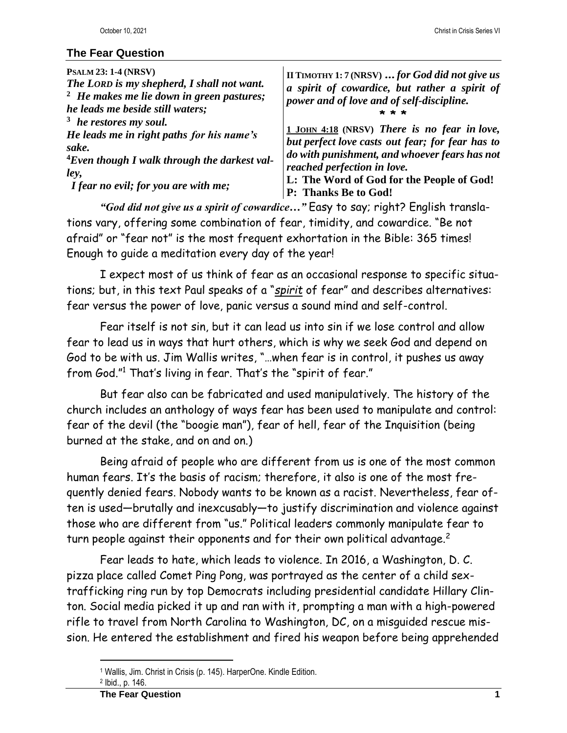## **The Fear Question**

| <b>PSALM 23: 1-4 (NRSV)</b><br>The LORD is my shepherd, I shall not want.<br>$2$ He makes me lie down in green pastures;<br>he leads me beside still waters; | II TIMOTHY 1: 7 (NRSV)  for God did not give us<br>a spirit of cowardice, but rather a spirit of<br>power and of love and of self-discipline. |
|--------------------------------------------------------------------------------------------------------------------------------------------------------------|-----------------------------------------------------------------------------------------------------------------------------------------------|
| <sup>3</sup> he restores my soul.                                                                                                                            | 1 JOHN 4:18 (NRSV) There is no fear in love,                                                                                                  |
| He leads me in right paths for his name's                                                                                                                    | but perfect love casts out fear; for fear has to                                                                                              |
| sake.                                                                                                                                                        | do with punishment, and whoever fears has not                                                                                                 |
| <sup>4</sup> Even though I walk through the darkest val-                                                                                                     | reached perfection in love.                                                                                                                   |
| ley,                                                                                                                                                         | L: The Word of God for the People of God!                                                                                                     |
| I fear no evil; for you are with me;                                                                                                                         | P: Thanks Be to God!                                                                                                                          |

*"God did not give us a spirit of cowardice…"* Easy to say; right? English translations vary, offering some combination of fear, timidity, and cowardice. "Be not afraid" or "fear not" is the most frequent exhortation in the Bible: 365 times! Enough to guide a meditation every day of the year!

I expect most of us think of fear as an occasional response to specific situations; but, in this text Paul speaks of a "*spirit* of fear" and describes alternatives: fear versus the power of love, panic versus a sound mind and self-control.

Fear itself is not sin, but it can lead us into sin if we lose control and allow fear to lead us in ways that hurt others, which is why we seek God and depend on God to be with us. Jim Wallis writes, "…when fear is in control, it pushes us away from God." <sup>1</sup> That's living in fear. That's the "spirit of fear."

But fear also can be fabricated and used manipulatively. The history of the church includes an anthology of ways fear has been used to manipulate and control: fear of the devil (the "boogie man"), fear of hell, fear of the Inquisition (being burned at the stake, and on and on.)

Being afraid of people who are different from us is one of the most common human fears. It's the basis of racism; therefore, it also is one of the most frequently denied fears. Nobody wants to be known as a racist. Nevertheless, fear often is used—brutally and inexcusably—to justify discrimination and violence against those who are different from "us." Political leaders commonly manipulate fear to turn people against their opponents and for their own political advantage.<sup>2</sup>

Fear leads to hate, which leads to violence. In 2016, a Washington, D. C. pizza place called Comet Ping Pong, was portrayed as the center of a child sextrafficking ring run by top Democrats including presidential candidate Hillary Clinton. Social media picked it up and ran with it, prompting a man with a high-powered rifle to travel from North Carolina to Washington, DC, on a misguided rescue mission. He entered the establishment and fired his weapon before being apprehended

<sup>1</sup> Wallis, Jim. Christ in Crisis (p. 145). HarperOne. Kindle Edition.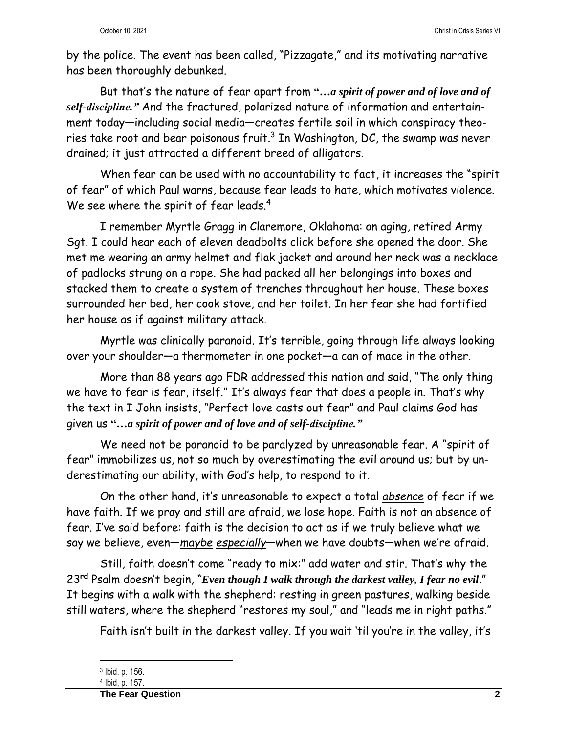by the police. The event has been called, "Pizzagate," and its motivating narrative has been thoroughly debunked.

But that's the nature of fear apart from **"…***a spirit of power and of love and of self-discipline."* And the fractured, polarized nature of information and entertainment today—including social media—creates fertile soil in which conspiracy theories take root and bear poisonous fruit.<sup>3</sup> In Washington, DC, the swamp was never drained; it just attracted a different breed of alligators.

When fear can be used with no accountability to fact, it increases the "spirit of fear" of which Paul warns, because fear leads to hate, which motivates violence. We see where the spirit of fear leads.<sup>4</sup>

I remember Myrtle Gragg in Claremore, Oklahoma: an aging, retired Army Sgt. I could hear each of eleven deadbolts click before she opened the door. She met me wearing an army helmet and flak jacket and around her neck was a necklace of padlocks strung on a rope. She had packed all her belongings into boxes and stacked them to create a system of trenches throughout her house. These boxes surrounded her bed, her cook stove, and her toilet. In her fear she had fortified her house as if against military attack.

Myrtle was clinically paranoid. It's terrible, going through life always looking over your shoulder—a thermometer in one pocket—a can of mace in the other.

More than 88 years ago FDR addressed this nation and said, "The only thing we have to fear is fear, itself." It's always fear that does a people in. That's why the text in I John insists, "Perfect love casts out fear" and Paul claims God has given us **"…***a spirit of power and of love and of self-discipline."*

We need not be paranoid to be paralyzed by unreasonable fear. A "spirit of fear" immobilizes us, not so much by overestimating the evil around us; but by underestimating our ability, with God's help, to respond to it.

On the other hand, it's unreasonable to expect a total *absence* of fear if we have faith. If we pray and still are afraid, we lose hope. Faith is not an absence of fear. I've said before: faith is the decision to act as if we truly believe what we say we believe, even—*maybe especially*—when we have doubts—when we're afraid.

Still, faith doesn't come "ready to mix:" add water and stir. That's why the 23**rd** Psalm doesn't begin, "*Even though I walk through the darkest valley, I fear no evil*." It begins with a walk with the shepherd: resting in green pastures, walking beside still waters, where the shepherd "restores my soul," and "leads me in right paths."

Faith isn't built in the darkest valley. If you wait 'til you're in the valley, it's

<sup>3</sup> Ibid. p. 156.

<sup>4</sup> Ibid, p. 157.